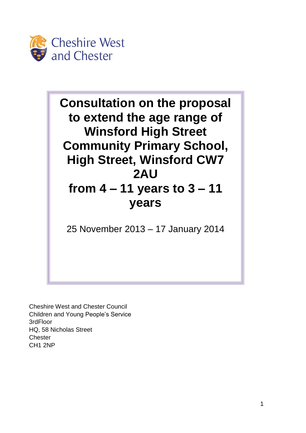

**Consultation on the proposal to extend the age range of Winsford High Street Community Primary School, High Street, Winsford CW7 2AU from 4 – 11 years to 3 – 11 years** 25 November 2013 – 17 January 2014

Cheshire West and Chester Council Children and Young People's Service 3rdFloor HQ, 58 Nicholas Street **Chester** CH1 2NP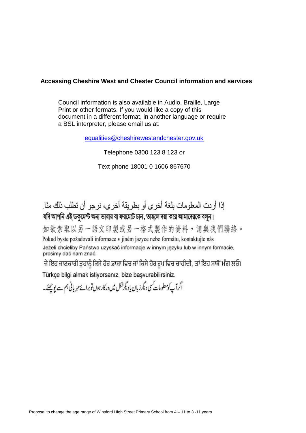## **Accessing Cheshire West and Chester Council information and services**

Council information is also available in Audio, Braille, Large Print or other formats. If you would like a copy of this document in a different format, in another language or require a BSL interpreter, please email us at:

[equalities@cheshirewestandchester.gov.uk](mailto:equalities@cheshirewestandchester.gov.uk)

Telephone 0300 123 8 123 or

Text phone 18001 0 1606 867670

إذا أر دت المعلومات بلغة أخر ي أو بطريقة أخر ي، نر جو ۖ أن تطلب ذلك منا ِ

যদি আপনি এই ডকুমেন্ট অন্য ভাষায় বা ফরমেটে চান, তাহলে দয়া করে আমাদেরকে বলুন।

如欲索取以另一語文印製或另一格式製作的資料,請與我們聯絡。 Pokud byste požadovali informace v jiném jazyce nebo formátu, kontaktujte nás Jeżeli chcieliby Państwo uzyskać informacje w innym języku lub w innym formacie, prosimy dać nam znać.

ਜੇ ਇਹ ਜਾਣਕਾਰੀ ਤੁਹਾਨੂੰ ਕਿਸੇ ਹੋਰ ਭਾਸ਼ਾ ਵਿਚ ਜਾਂ ਕਿਸੇ ਹੋਰ ਰੂਪ ਵਿਚ ਚਾਹੀਦੀ, ਤਾਂ ਇਹ ਸਾਥੋਂ ਮੰਗ ਲਓ। Türkçe bilgi almak istiyorsanız, bize başvurabilirsiniz.

اگرآپ کومعلومات کسی دیگر زبان یادیگرشکل میں درکارہوں توبراۓمہربانی ہم سے پوچھئے۔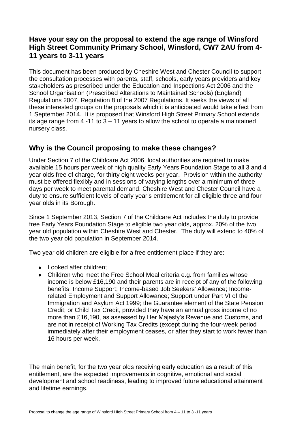## **Have your say on the proposal to extend the age range of Winsford High Street Community Primary School, Winsford, CW7 2AU from 4- 11 years to 3-11 years**

This document has been produced by Cheshire West and Chester Council to support the consultation processes with parents, staff, schools, early years providers and key stakeholders as prescribed under the Education and Inspections Act 2006 and the School Organisation (Prescribed Alterations to Maintained Schools) (England) Regulations 2007, Regulation 8 of the 2007 Regulations. It seeks the views of all these interested groups on the proposals which it is anticipated would take effect from 1 September 2014. It is proposed that Winsford High Street Primary School extends its age range from  $4 - 11$  to  $3 - 11$  years to allow the school to operate a maintained nursery class.

# **Why is the Council proposing to make these changes?**

Under Section 7 of the Childcare Act 2006, local authorities are required to make available 15 hours per week of high quality Early Years Foundation Stage to all 3 and 4 year olds free of charge, for thirty eight weeks per year. Provision within the authority must be offered flexibly and in sessions of varying lengths over a minimum of three days per week to meet parental demand. Cheshire West and Chester Council have a duty to ensure sufficient levels of early year's entitlement for all eligible three and four year olds in its Borough.

Since 1 September 2013, Section 7 of the Childcare Act includes the duty to provide free Early Years Foundation Stage to eligible two year olds, approx. 20% of the two year old population within Cheshire West and Chester. The duty will extend to 40% of the two year old population in September 2014.

Two year old children are eligible for a free entitlement place if they are:

- Looked after children:
- Children who meet the Free School Meal criteria e.g. from families whose income is below £16,190 and their parents are in receipt of any of the following benefits: Income Support; Income-based Job Seekers' Allowance; Incomerelated Employment and Support Allowance; Support under Part VI of the Immigration and Asylum Act 1999; the Guarantee element of the State Pension Credit; or Child Tax Credit, provided they have an annual gross income of no more than £16,190, as assessed by Her Majesty's Revenue and Customs, and are not in receipt of Working Tax Credits (except during the four-week period immediately after their employment ceases, or after they start to work fewer than 16 hours per week.

The main benefit, for the two year olds receiving early education as a result of this entitlement, are the expected improvements in cognitive, emotional and social development and school readiness, leading to improved future educational attainment and lifetime earnings.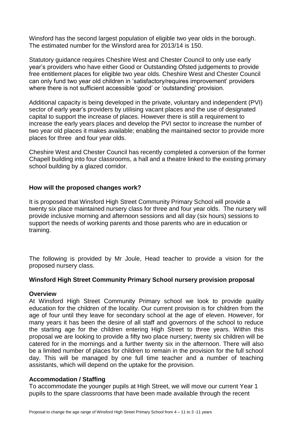Winsford has the second largest population of eligible two year olds in the borough. The estimated number for the Winsford area for 2013/14 is 150.

Statutory guidance requires Cheshire West and Chester Council to only use early year's providers who have either Good or Outstanding Ofsted judgements to provide free entitlement places for eligible two year olds. Cheshire West and Chester Council can only fund two year old children in 'satisfactory/requires improvement' providers where there is not sufficient accessible 'good' or 'outstanding' provision.

Additional capacity is being developed in the private, voluntary and independent (PVI) sector of early year's providers by utilising vacant places and the use of designated capital to support the increase of places. However there is still a requirement to increase the early years places and develop the PVI sector to increase the number of two year old places it makes available; enabling the maintained sector to provide more places for three and four year olds.

Cheshire West and Chester Council has recently completed a conversion of the former Chapell building into four classrooms, a hall and a theatre linked to the existing primary school building by a glazed corridor.

#### **How will the proposed changes work?**

It is proposed that Winsford High Street Community Primary School will provide a twenty six place maintained nursery class for three and four year olds. The nursery will provide inclusive morning and afternoon sessions and all day (six hours) sessions to support the needs of working parents and those parents who are in education or training.

The following is provided by Mr Joule, Head teacher to provide a vision for the proposed nursery class.

#### **Winsford High Street Community Primary School nursery provision proposal**

#### **Overview**

At Winsford High Street Community Primary school we look to provide quality education for the children of the locality. Our current provision is for children from the age of four until they leave for secondary school at the age of eleven. However, for many years it has been the desire of all staff and governors of the school to reduce the starting age for the children entering High Street to three years. Within this proposal we are looking to provide a fifty two place nursery; twenty six children will be catered for in the mornings and a further twenty six in the afternoon. There will also be a limited number of places for children to remain in the provision for the full school day. This will be managed by one full time teacher and a number of teaching assistants, which will depend on the uptake for the provision.

#### **Accommodation / Staffing**

To accommodate the younger pupils at High Street, we will move our current Year 1 pupils to the spare classrooms that have been made available through the recent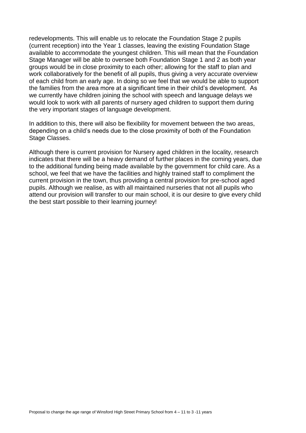redevelopments. This will enable us to relocate the Foundation Stage 2 pupils (current reception) into the Year 1 classes, leaving the existing Foundation Stage available to accommodate the youngest children. This will mean that the Foundation Stage Manager will be able to oversee both Foundation Stage 1 and 2 as both year groups would be in close proximity to each other; allowing for the staff to plan and work collaboratively for the benefit of all pupils, thus giving a very accurate overview of each child from an early age. In doing so we feel that we would be able to support the families from the area more at a significant time in their child's development. As we currently have children joining the school with speech and language delays we would look to work with all parents of nursery aged children to support them during the very important stages of language development.

In addition to this, there will also be flexibility for movement between the two areas, depending on a child's needs due to the close proximity of both of the Foundation Stage Classes.

Although there is current provision for Nursery aged children in the locality, research indicates that there will be a heavy demand of further places in the coming years, due to the additional funding being made available by the government for child care. As a school, we feel that we have the facilities and highly trained staff to compliment the current provision in the town, thus providing a central provision for pre-school aged pupils. Although we realise, as with all maintained nurseries that not all pupils who attend our provision will transfer to our main school, it is our desire to give every child the best start possible to their learning journey!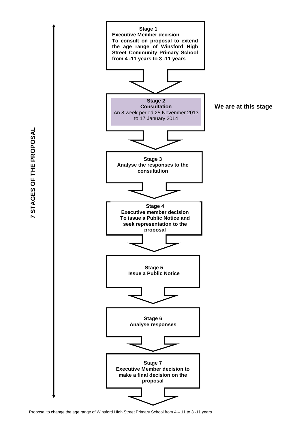

7 STAGES OF THE PROPOSAL **7 STAGES OF THE PROPOSAL**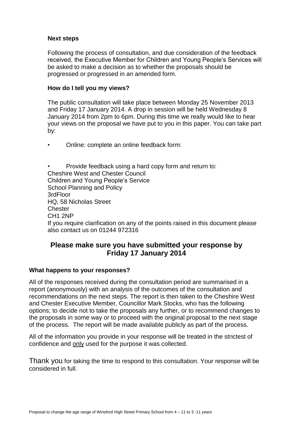## **Next steps**

Following the process of consultation, and due consideration of the feedback received, the Executive Member for Children and Young People's Services will be asked to make a decision as to whether the proposals should be progressed or progressed in an amended form.

### **How do I tell you my views?**

The public consultation will take place between Monday 25 November 2013 and Friday 17 January 2014. A drop in session will be held Wednesday 8 January 2014 from 2pm to 6pm. During this time we really would like to hear your views on the proposal we have put to you in this paper. You can take part by:

• Online: complete an online feedback form:

• Provide feedback using a hard copy form and return to: Cheshire West and Chester Council Children and Young People's Service School Planning and Policy 3rdFloor HQ, 58 Nicholas Street **Chester** CH1 2NP If you require clarification on any of the points raised in this document please also contact us on 01244 972316

## **Please make sure you have submitted your response by Friday 17 January 2014**

### **What happens to your responses?**

All of the responses received during the consultation period are summarised in a report (anonymously) with an analysis of the outcomes of the consultation and recommendations on the next steps. The report is then taken to the Cheshire West and Chester Executive Member, Councillor Mark Stocks, who has the following options; to decide not to take the proposals any further, or to recommend changes to the proposals in some way or to proceed with the original proposal to the next stage of the process. The report will be made available publicly as part of the process.

All of the information you provide in your response will be treated in the strictest of confidence and only used for the purpose it was collected.

Thank you for taking the time to respond to this consultation. Your response will be considered in full.